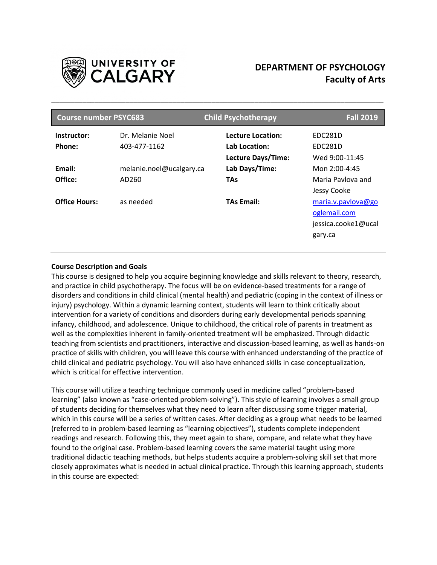

# **DEPARTMENT OF PSYCHOLOGY Faculty of Arts**

| <b>Course number PSYC683</b> |                          | <b>Child Psychotherapy</b> | <b>Fall 2019</b>    |  |
|------------------------------|--------------------------|----------------------------|---------------------|--|
| Instructor:                  | Dr. Melanie Noel         | Lecture Location:          | EDC281D             |  |
| Phone:                       | 403-477-1162             | Lab Location:              | <b>EDC281D</b>      |  |
|                              |                          | Lecture Days/Time:         | Wed 9:00-11:45      |  |
| Email:                       | melanie.noel@ucalgary.ca | Lab Days/Time:             | Mon 2:00-4:45       |  |
| Office:                      | AD260                    | <b>TAs</b>                 | Maria Pavlova and   |  |
|                              |                          |                            | Jessy Cooke         |  |
| <b>Office Hours:</b>         | as needed                | <b>TAs Email:</b>          | maria.v.pavlova@go  |  |
|                              |                          |                            | oglemail.com        |  |
|                              |                          |                            | jessica.cooke1@ucal |  |
|                              |                          |                            | gary.ca             |  |
|                              |                          |                            |                     |  |

\_\_\_\_\_\_\_\_\_\_\_\_\_\_\_\_\_\_\_\_\_\_\_\_\_\_\_\_\_\_\_\_\_\_\_\_\_\_\_\_\_\_\_\_\_\_\_\_\_\_\_\_\_\_\_\_\_\_\_\_\_\_\_\_\_\_\_\_\_\_\_\_\_\_\_\_\_\_\_\_\_\_\_\_\_

## **Course Description and Goals**

This course is designed to help you acquire beginning knowledge and skills relevant to theory, research, and practice in child psychotherapy. The focus will be on evidence-based treatments for a range of disorders and conditions in child clinical (mental health) and pediatric (coping in the context of illness or injury) psychology. Within a dynamic learning context, students will learn to think critically about intervention for a variety of conditions and disorders during early developmental periods spanning infancy, childhood, and adolescence. Unique to childhood, the critical role of parents in treatment as well as the complexities inherent in family-oriented treatment will be emphasized. Through didactic teaching from scientists and practitioners, interactive and discussion-based learning, as well as hands-on practice of skills with children, you will leave this course with enhanced understanding of the practice of child clinical and pediatric psychology. You will also have enhanced skills in case conceptualization, which is critical for effective intervention.

This course will utilize a teaching technique commonly used in medicine called "problem-based learning" (also known as "case-oriented problem-solving"). This style of learning involves a small group of students deciding for themselves what they need to learn after discussing some trigger material, which in this course will be a series of written cases. After deciding as a group what needs to be learned (referred to in problem-based learning as "learning objectives"), students complete independent readings and research. Following this, they meet again to share, compare, and relate what they have found to the original case. Problem-based learning covers the same material taught using more traditional didactic teaching methods, but helps students acquire a problem-solving skill set that more closely approximates what is needed in actual clinical practice. Through this learning approach, students in this course are expected: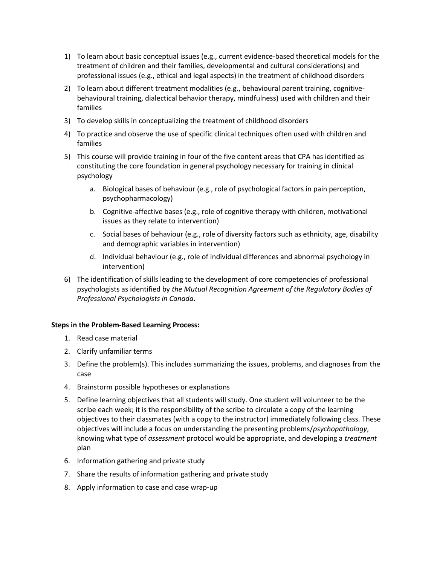- 1) To learn about basic conceptual issues (e.g., current evidence-based theoretical models for the treatment of children and their families, developmental and cultural considerations) and professional issues (e.g., ethical and legal aspects) in the treatment of childhood disorders
- 2) To learn about different treatment modalities (e.g., behavioural parent training, cognitivebehavioural training, dialectical behavior therapy, mindfulness) used with children and their families
- 3) To develop skills in conceptualizing the treatment of childhood disorders
- 4) To practice and observe the use of specific clinical techniques often used with children and families
- 5) This course will provide training in four of the five content areas that CPA has identified as constituting the core foundation in general psychology necessary for training in clinical psychology
	- a. Biological bases of behaviour (e.g., role of psychological factors in pain perception, psychopharmacology)
	- b. Cognitive-affective bases (e.g., role of cognitive therapy with children, motivational issues as they relate to intervention)
	- c. Social bases of behaviour (e.g., role of diversity factors such as ethnicity, age, disability and demographic variables in intervention)
	- d. Individual behaviour (e.g., role of individual differences and abnormal psychology in intervention)
- 6) The identification of skills leading to the development of core competencies of professional psychologists as identified by *the Mutual Recognition Agreement of the Regulatory Bodies of Professional Psychologists in Canada*.

## **Steps in the Problem-Based Learning Process:**

- 1. Read case material
- 2. Clarify unfamiliar terms
- 3. Define the problem(s). This includes summarizing the issues, problems, and diagnoses from the case
- 4. Brainstorm possible hypotheses or explanations
- 5. Define learning objectives that all students will study. One student will volunteer to be the scribe each week; it is the responsibility of the scribe to circulate a copy of the learning objectives to their classmates (with a copy to the instructor) immediately following class. These objectives will include a focus on understanding the presenting problems/*psychopathology*, knowing what type of *assessment* protocol would be appropriate, and developing a *treatment* plan
- 6. Information gathering and private study
- 7. Share the results of information gathering and private study
- 8. Apply information to case and case wrap-up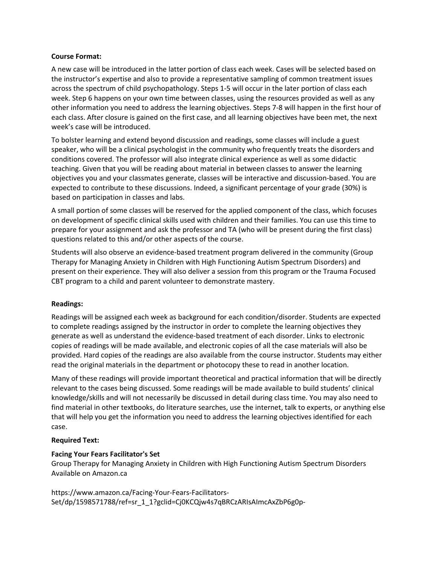#### **Course Format:**

A new case will be introduced in the latter portion of class each week. Cases will be selected based on the instructor's expertise and also to provide a representative sampling of common treatment issues across the spectrum of child psychopathology. Steps 1-5 will occur in the later portion of class each week. Step 6 happens on your own time between classes, using the resources provided as well as any other information you need to address the learning objectives. Steps 7-8 will happen in the first hour of each class. After closure is gained on the first case, and all learning objectives have been met, the next week's case will be introduced.

To bolster learning and extend beyond discussion and readings, some classes will include a guest speaker, who will be a clinical psychologist in the community who frequently treats the disorders and conditions covered. The professor will also integrate clinical experience as well as some didactic teaching. Given that you will be reading about material in between classes to answer the learning objectives you and your classmates generate, classes will be interactive and discussion-based. You are expected to contribute to these discussions. Indeed, a significant percentage of your grade (30%) is based on participation in classes and labs.

A small portion of some classes will be reserved for the applied component of the class, which focuses on development of specific clinical skills used with children and their families. You can use this time to prepare for your assignment and ask the professor and TA (who will be present during the first class) questions related to this and/or other aspects of the course.

Students will also observe an evidence-based treatment program delivered in the community (Group Therapy for Managing Anxiety in Children with High Functioning Autism Spectrum Disorders) and present on their experience. They will also deliver a session from this program or the Trauma Focused CBT program to a child and parent volunteer to demonstrate mastery.

## **Readings:**

Readings will be assigned each week as background for each condition/disorder. Students are expected to complete readings assigned by the instructor in order to complete the learning objectives they generate as well as understand the evidence-based treatment of each disorder. Links to electronic copies of readings will be made available, and electronic copies of all the case materials will also be provided. Hard copies of the readings are also available from the course instructor. Students may either read the original materials in the department or photocopy these to read in another location.

Many of these readings will provide important theoretical and practical information that will be directly relevant to the cases being discussed. Some readings will be made available to build students' clinical knowledge/skills and will not necessarily be discussed in detail during class time. You may also need to find material in other textbooks, do literature searches, use the internet, talk to experts, or anything else that will help you get the information you need to address the learning objectives identified for each case.

#### **Required Text:**

## **Facing Your Fears Facilitator's Set**

Group Therapy for Managing Anxiety in Children with High Functioning Autism Spectrum Disorders Available on Amazon.ca

https://www.amazon.ca/Facing-Your-Fears-Facilitators-Set/dp/1598571788/ref=sr\_1\_1?gclid=Cj0KCQjw4s7qBRCzARIsAImcAxZbP6g0p-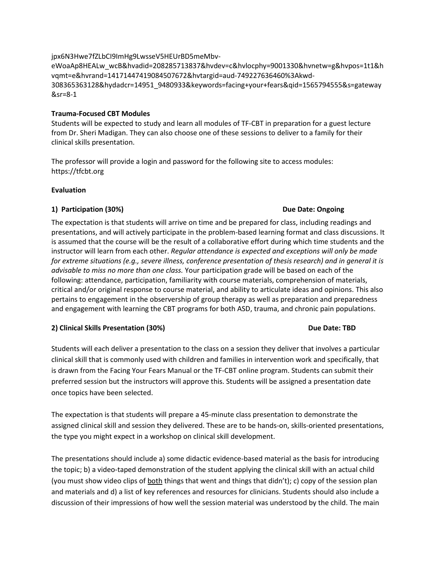# jpx6N3Hwe7fZLbCI9ImHg9LwsseV5HEUrBD5meMbv-

eWoaAp8HEALw\_wcB&hvadid=208285713837&hvdev=c&hvlocphy=9001330&hvnetw=g&hvpos=1t1&h vqmt=e&hvrand=14171447419084507672&hvtargid=aud-749227636460%3Akwd-308365363128&hydadcr=14951\_9480933&keywords=facing+your+fears&qid=1565794555&s=gateway &sr=8-1

# **Trauma-Focused CBT Modules**

Students will be expected to study and learn all modules of TF-CBT in preparation for a guest lecture from Dr. Sheri Madigan. They can also choose one of these sessions to deliver to a family for their clinical skills presentation.

The professor will provide a login and password for the following site to access modules: https://tfcbt.org

# **Evaluation**

# **1) Participation (30%) Due Date: Ongoing**

# The expectation is that students will arrive on time and be prepared for class, including readings and presentations, and will actively participate in the problem-based learning format and class discussions. It is assumed that the course will be the result of a collaborative effort during which time students and the instructor will learn from each other. *Regular attendance is expected and exceptions will only be made for extreme situations (e.g., severe illness, conference presentation of thesis research) and in general it is advisable to miss no more than one class.* Your participation grade will be based on each of the following: attendance, participation, familiarity with course materials, comprehension of materials, critical and/or original response to course material, and ability to articulate ideas and opinions. This also pertains to engagement in the observership of group therapy as well as preparation and preparedness and engagement with learning the CBT programs for both ASD, trauma, and chronic pain populations.

# **2) Clinical Skills Presentation (30%) Due Date: TBD**

# Students will each deliver a presentation to the class on a session they deliver that involves a particular clinical skill that is commonly used with children and families in intervention work and specifically, that is drawn from the Facing Your Fears Manual or the TF-CBT online program. Students can submit their preferred session but the instructors will approve this. Students will be assigned a presentation date once topics have been selected.

The expectation is that students will prepare a 45-minute class presentation to demonstrate the assigned clinical skill and session they delivered. These are to be hands-on, skills-oriented presentations, the type you might expect in a workshop on clinical skill development.

The presentations should include a) some didactic evidence-based material as the basis for introducing the topic; b) a video-taped demonstration of the student applying the clinical skill with an actual child (you must show video clips of both things that went and things that didn't); c) copy of the session plan and materials and d) a list of key references and resources for clinicians. Students should also include a discussion of their impressions of how well the session material was understood by the child. The main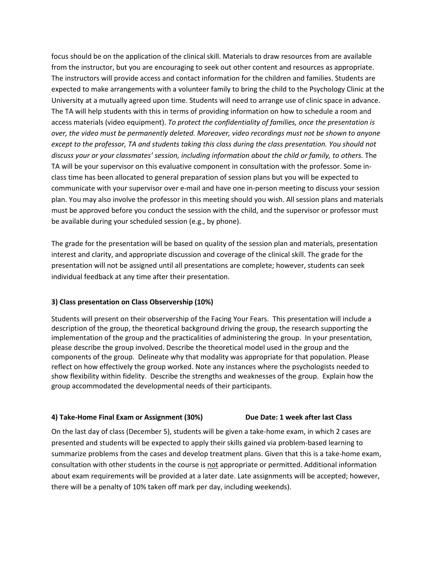focus should be on the application of the clinical skill. Materials to draw resources from are available from the instructor, but you are encouraging to seek out other content and resources as appropriate. The instructors will provide access and contact information for the children and families. Students are expected to make arrangements with a volunteer family to bring the child to the Psychology Clinic at the University at a mutually agreed upon time. Students will need to arrange use of clinic space in advance. The TA will help students with this in terms of providing information on how to schedule a room and access materials (video equipment). *To protect the confidentiality of families, once the presentation is over, the video must be permanently deleted. Moreover, video recordings must not be shown to anyone except to the professor, TA and students taking this class during the class presentation. You should not discuss your or your classmates' session, including information about the child or family, to others.* The TA will be your supervisor on this evaluative component in consultation with the professor. Some inclass time has been allocated to general preparation of session plans but you will be expected to communicate with your supervisor over e-mail and have one in-person meeting to discuss your session plan. You may also involve the professor in this meeting should you wish. All session plans and materials must be approved before you conduct the session with the child, and the supervisor or professor must be available during your scheduled session (e.g., by phone).

The grade for the presentation will be based on quality of the session plan and materials, presentation interest and clarity, and appropriate discussion and coverage of the clinical skill. The grade for the presentation will not be assigned until all presentations are complete; however, students can seek individual feedback at any time after their presentation.

## **3) Class presentation on Class Observership (10%)**

Students will present on their observership of the Facing Your Fears. This presentation will include a description of the group, the theoretical background driving the group, the research supporting the implementation of the group and the practicalities of administering the group. In your presentation, please describe the group involved. Describe the theoretical model used in the group and the components of the group. Delineate why that modality was appropriate for that population. Please reflect on how effectively the group worked. Note any instances where the psychologists needed to show flexibility within fidelity. Describe the strengths and weaknesses of the group. Explain how the group accommodated the developmental needs of their participants.

#### **4) Take-Home Final Exam or Assignment (30%) Due Date: 1 week after last Class**

On the last day of class (December 5), students will be given a take-home exam, in which 2 cases are presented and students will be expected to apply their skills gained via problem-based learning to summarize problems from the cases and develop treatment plans. Given that this is a take-home exam, consultation with other students in the course is not appropriate or permitted. Additional information about exam requirements will be provided at a later date. Late assignments will be accepted; however, there will be a penalty of 10% taken off mark per day, including weekends).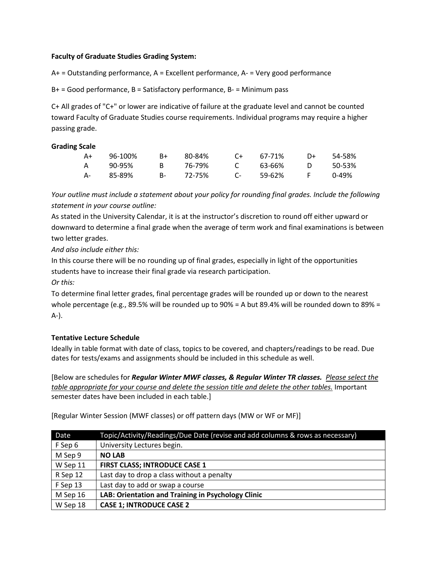# **Faculty of Graduate Studies Grading System:**

A+ = Outstanding performance, A = Excellent performance, A- = Very good performance

B+ = Good performance, B = Satisfactory performance, B- = Minimum pass

C+ All grades of "C+" or lower are indicative of failure at the graduate level and cannot be counted toward Faculty of Graduate Studies course requirements. Individual programs may require a higher passing grade.

## **Grading Scale**

| A+         | 96-100% | R+ | 80-84%    | $C_{+}$ 67-71% |       | D+ 54-58% |
|------------|---------|----|-----------|----------------|-------|-----------|
| A,         | 90-95%  | R. | 76-79%    | C 63-66%       | . O   | - 50-53%  |
| <b>A</b> - | 85-89%  |    | B- 72-75% | C- 59-62%      | - F - | በ-49%     |

*Your outline must include a statement about your policy for rounding final grades. Include the following statement in your course outline:*

As stated in the University Calendar, it is at the instructor's discretion to round off either upward or downward to determine a final grade when the average of term work and final examinations is between two letter grades.

*And also include either this:*

In this course there will be no rounding up of final grades, especially in light of the opportunities students have to increase their final grade via research participation.

*Or this:*

To determine final letter grades, final percentage grades will be rounded up or down to the nearest whole percentage (e.g., 89.5% will be rounded up to 90% = A but 89.4% will be rounded down to 89% = A-).

# **Tentative Lecture Schedule**

Ideally in table format with date of class, topics to be covered, and chapters/readings to be read. Due dates for tests/exams and assignments should be included in this schedule as well.

[Below are schedules for *Regular Winter MWF classes, & Regular Winter TR classes. Please select the table appropriate for your course and delete the session title and delete the other tables.* Important semester dates have been included in each table.]

[Regular Winter Session (MWF classes) or off pattern days (MW or WF or MF)]

| Date     | Topic/Activity/Readings/Due Date (revise and add columns & rows as necessary) |
|----------|-------------------------------------------------------------------------------|
| F Sep 6  | University Lectures begin.                                                    |
| M Sep 9  | <b>NO LAB</b>                                                                 |
| W Sep 11 | <b>FIRST CLASS; INTRODUCE CASE 1</b>                                          |
| R Sep 12 | Last day to drop a class without a penalty                                    |
| F Sep 13 | Last day to add or swap a course                                              |
| M Sep 16 | LAB: Orientation and Training in Psychology Clinic                            |
| W Sep 18 | <b>CASE 1; INTRODUCE CASE 2</b>                                               |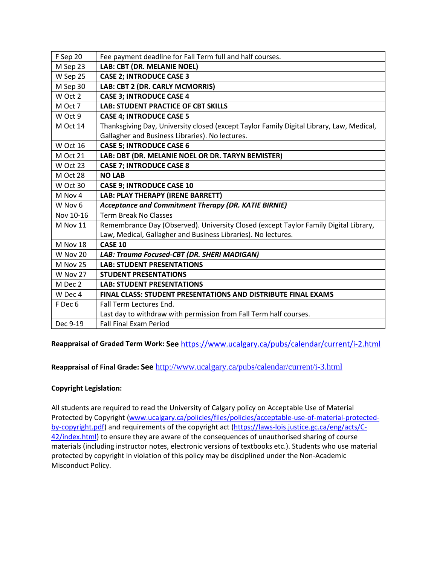| F Sep 20  | Fee payment deadline for Fall Term full and half courses.                                |
|-----------|------------------------------------------------------------------------------------------|
| M Sep 23  | LAB: CBT (DR. MELANIE NOEL)                                                              |
| W Sep 25  | <b>CASE 2; INTRODUCE CASE 3</b>                                                          |
| M Sep 30  | LAB: CBT 2 (DR. CARLY MCMORRIS)                                                          |
| W Oct 2   | <b>CASE 3; INTRODUCE CASE 4</b>                                                          |
| M Oct 7   | <b>LAB: STUDENT PRACTICE OF CBT SKILLS</b>                                               |
| W Oct 9   | <b>CASE 4; INTRODUCE CASE 5</b>                                                          |
| M Oct 14  | Thanksgiving Day, University closed (except Taylor Family Digital Library, Law, Medical, |
|           | Gallagher and Business Libraries). No lectures.                                          |
| W Oct 16  | <b>CASE 5; INTRODUCE CASE 6</b>                                                          |
| M Oct 21  | LAB: DBT (DR. MELANIE NOEL OR DR. TARYN BEMISTER)                                        |
| W Oct 23  | <b>CASE 7; INTRODUCE CASE 8</b>                                                          |
| M Oct 28  | <b>NO LAB</b>                                                                            |
| W Oct 30  | <b>CASE 9; INTRODUCE CASE 10</b>                                                         |
|           |                                                                                          |
| M Nov 4   | LAB: PLAY THERAPY (IRENE BARRETT)                                                        |
| W Nov 6   | Acceptance and Commitment Therapy (DR. KATIE BIRNIE)                                     |
| Nov 10-16 | <b>Term Break No Classes</b>                                                             |
| M Nov 11  | Remembrance Day (Observed). University Closed (except Taylor Family Digital Library,     |
|           | Law, Medical, Gallagher and Business Libraries). No lectures.                            |
| M Nov 18  | <b>CASE 10</b>                                                                           |
| W Nov 20  | LAB: Trauma Focused-CBT (DR. SHERI MADIGAN)                                              |
| M Nov 25  | <b>LAB: STUDENT PRESENTATIONS</b>                                                        |
| W Nov 27  | <b>STUDENT PRESENTATIONS</b>                                                             |
| M Dec 2   | <b>LAB: STUDENT PRESENTATIONS</b>                                                        |
| W Dec 4   | FINAL CLASS: STUDENT PRESENTATIONS AND DISTRIBUTE FINAL EXAMS                            |
| F Dec 6   | Fall Term Lectures End.                                                                  |
|           | Last day to withdraw with permission from Fall Term half courses.                        |

**Reappraisal of Graded Term Work: See** <https://www.ucalgary.ca/pubs/calendar/current/i-2.html>

**Reappraisal of Final Grade: See** <http://www.ucalgary.ca/pubs/calendar/current/i-3.html>

# **Copyright Legislation:**

All students are required to read the University of Calgary policy on Acceptable Use of Material Protected by Copyright [\(www.ucalgary.ca/policies/files/policies/acceptable-use-of-material-protected](http://www.ucalgary.ca/policies/files/policies/acceptable-use-of-material-protected-by-copyright.pdf)[by-copyright.pdf\)](http://www.ucalgary.ca/policies/files/policies/acceptable-use-of-material-protected-by-copyright.pdf) and requirements of the copyright act [\(https://laws-lois.justice.gc.ca/eng/acts/C-](https://laws-lois.justice.gc.ca/eng/acts/C-42/index.html)[42/index.html\)](https://laws-lois.justice.gc.ca/eng/acts/C-42/index.html) to ensure they are aware of the consequences of unauthorised sharing of course materials (including instructor notes, electronic versions of textbooks etc.). Students who use material protected by copyright in violation of this policy may be disciplined under the Non-Academic Misconduct Policy.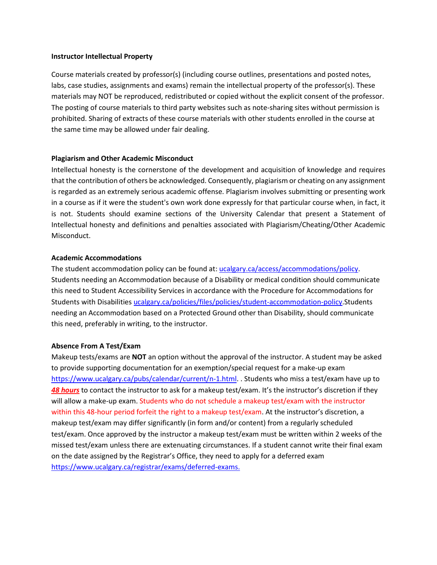#### **Instructor Intellectual Property**

Course materials created by professor(s) (including course outlines, presentations and posted notes, labs, case studies, assignments and exams) remain the intellectual property of the professor(s). These materials may NOT be reproduced, redistributed or copied without the explicit consent of the professor. The posting of course materials to third party websites such as note-sharing sites without permission is prohibited. Sharing of extracts of these course materials with other students enrolled in the course at the same time may be allowed under fair dealing.

#### **Plagiarism and Other Academic Misconduct**

Intellectual honesty is the cornerstone of the development and acquisition of knowledge and requires that the contribution of others be acknowledged. Consequently, plagiarism or cheating on any assignment is regarded as an extremely serious academic offense. Plagiarism involves submitting or presenting work in a course as if it were the student's own work done expressly for that particular course when, in fact, it is not. Students should examine sections of the University Calendar that present a Statement of Intellectual honesty and definitions and penalties associated with Plagiarism/Cheating/Other Academic Misconduct.

#### **Academic Accommodations**

The student accommodation policy can be found at: [ucalgary.ca/access/accommodations/policy.](http://www.ucalgary.ca/access/accommodations/policy) Students needing an Accommodation because of a Disability or medical condition should communicate this need to Student Accessibility Services in accordance with the Procedure for Accommodations for Students with Disabilities [ucalgary.ca/policies/files/policies/student-accommodation-policy.](http://www.ucalgary.ca/policies/files/policies/student-accommodation-policy.pdf)Students needing an Accommodation based on a Protected Ground other than Disability, should communicate this need, preferably in writing, to the instructor.

#### **Absence From A Test/Exam**

Makeup tests/exams are **NOT** an option without the approval of the instructor. A student may be asked to provide supporting documentation for an exemption/special request for a make-up exam [https://www.ucalgary.ca/pubs/calendar/current/n-1.html.](https://www.ucalgary.ca/pubs/calendar/current/n-1.html) . Students who miss a test/exam have up to *48 hours* to contact the instructor to ask for a makeup test/exam. It's the instructor's discretion if they will allow a make-up exam. Students who do not schedule a makeup test/exam with the instructor within this 48-hour period forfeit the right to a makeup test/exam. At the instructor's discretion, a makeup test/exam may differ significantly (in form and/or content) from a regularly scheduled test/exam. Once approved by the instructor a makeup test/exam must be written within 2 weeks of the missed test/exam unless there are extenuating circumstances. If a student cannot write their final exam on the date assigned by the Registrar's Office, they need to apply for a deferred exam [https://www.ucalgary.ca/registrar/exams/deferred-exams.](https://www.ucalgary.ca/registrar/exams/deferred-exams)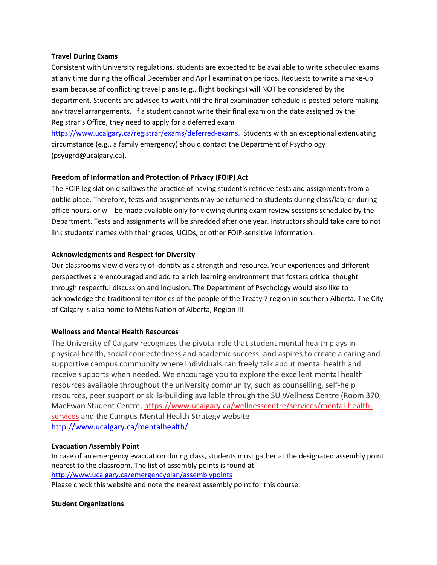## **Travel During Exams**

Consistent with University regulations, students are expected to be available to write scheduled exams at any time during the official December and April examination periods. Requests to write a make-up exam because of conflicting travel plans (e.g., flight bookings) will NOT be considered by the department. Students are advised to wait until the final examination schedule is posted before making any travel arrangements. If a student cannot write their final exam on the date assigned by the Registrar's Office, they need to apply for a deferred exam

https://www.ucalgary.ca/registrar[/exams/](https://www.ucalgary.ca/registrar/exams/deferred-exams)deferred[-exams.](https://www.ucalgary.ca/registrar/exams/deferred-exams) Students with an exceptional extenuating circumstance (e.g., a family emergency) should contact the Department of Psychology [\(psyugrd@ucalgary.ca\).](mailto:psyugrd@ucalgary.ca))

#### **Freedom of Information and Protection of Privacy (FOIP) Act**

The FOIP legislation disallows the practice of having student's retrieve tests and assignments from a public place. Therefore, tests and assignments may be returned to students during class/lab, or during office hours, or will be made available only for viewing during exam review sessions scheduled by the Department. Tests and assignments will be shredded after one year. Instructors should take care to not link students' names with their grades, UCIDs, or other FOIP-sensitive information.

#### **Acknowledgments and Respect for Diversity**

Our classrooms view diversity of identity as a strength and resource. Your experiences and different perspectives are encouraged and add to a rich learning environment that fosters critical thought through respectful discussion and inclusion. The Department of Psychology would also like to acknowledge the traditional territories of the people of the Treaty 7 region in southern Alberta. The City of Calgary is also home to Métis Nation of Alberta, Region III.

## **Wellness and Mental Health Resources**

The University of Calgary recognizes the pivotal role that student mental health plays in physical health, social connectedness and academic success, and aspires to create a caring and supportive campus community where individuals can freely talk about mental health and receive supports when needed. We encourage you to explore the excellent mental health resources available throughout the university community, such as counselling, self-help resources, peer support or skills-building available through the SU Wellness Centre (Room 370, MacEwan Student Centre, [https://www.ucalgary.ca/wellnesscentre/services/mental-health](https://www.ucalgary.ca/wellnesscentre/services/mental-health-services)[services](https://www.ucalgary.ca/wellnesscentre/services/mental-health-services) and the Campus Mental Health Strategy website <http://www.ucalgary.ca/mentalhealth/>

#### **Evacuation Assembly Point**

In case of an emergency evacuation during class, students must gather at the designated assembly point nearest to the classroom. The list of assembly points is found at <http://www.ucalgary.ca/emergencyplan/assemblypoints>

Please check this website and note the nearest assembly point for this course.

#### **Student Organizations**